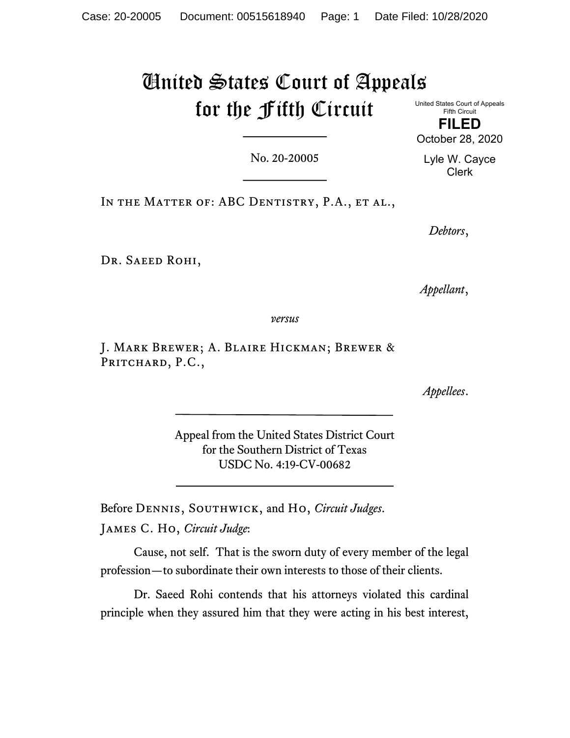# United States Court of Appeals for the Fifth Circuit United States Court of Appeals

Fifth Circuit FILED

October 28, 2020

No. 20-20005

Lyle W. Cayce Clerk

IN THE MATTER OF: ABC DENTISTRY, P.A., ET AL.,

Debtors,

DR. SAEED ROHI,

Appellant,

versus

J. Mark Brewer; A. Blaire Hickman; Brewer & PRITCHARD, P.C.,

Appellees.

Appeal from the United States District Court for the Southern District of Texas USDC No. 4:19-CV-00682

Before DENNIS, SOUTHWICK, and Ho, Circuit Judges.

James C. Ho, Circuit Judge:

Cause, not self. That is the sworn duty of every member of the legal profession—to subordinate their own interests to those of their clients.

Dr. Saeed Rohi contends that his attorneys violated this cardinal principle when they assured him that they were acting in his best interest,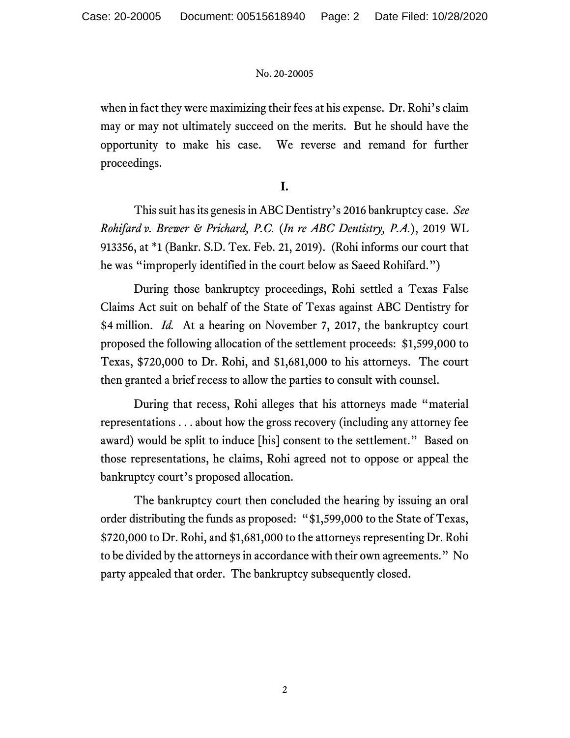when in fact they were maximizing their fees at his expense. Dr. Rohi's claim may or may not ultimately succeed on the merits. But he should have the opportunity to make his case. We reverse and remand for further proceedings.

## I.

This suit has its genesis in ABC Dentistry's 2016 bankruptcy case. See Rohifard v. Brewer & Prichard, P.C. (In re ABC Dentistry, P.A.), 2019 WL 913356, at \*1 (Bankr. S.D. Tex. Feb. 21, 2019). (Rohi informs our court that he was "improperly identified in the court below as Saeed Rohifard.")

During those bankruptcy proceedings, Rohi settled a Texas False Claims Act suit on behalf of the State of Texas against ABC Dentistry for \$4 million. *Id.* At a hearing on November 7, 2017, the bankruptcy court proposed the following allocation of the settlement proceeds: \$1,599,000 to Texas, \$720,000 to Dr. Rohi, and \$1,681,000 to his attorneys. The court then granted a brief recess to allow the parties to consult with counsel.

During that recess, Rohi alleges that his attorneys made "material representations . . . about how the gross recovery (including any attorney fee award) would be split to induce [his] consent to the settlement." Based on those representations, he claims, Rohi agreed not to oppose or appeal the bankruptcy court's proposed allocation.

The bankruptcy court then concluded the hearing by issuing an oral order distributing the funds as proposed: "\$1,599,000 to the State of Texas, \$720,000 to Dr. Rohi, and \$1,681,000 to the attorneys representing Dr. Rohi to be divided by the attorneys in accordance with their own agreements." No party appealed that order. The bankruptcy subsequently closed.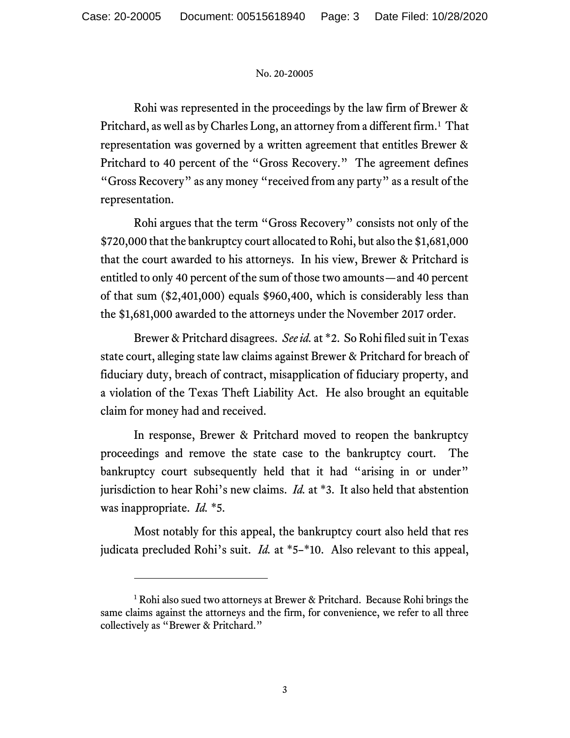Rohi was represented in the proceedings by the law firm of Brewer & Pritchard, as well as by Charles Long, an attorney from a different firm.<sup>1</sup> That representation was governed by a written agreement that entitles Brewer & Pritchard to 40 percent of the "Gross Recovery." The agreement defines "Gross Recovery" as any money "received from any party" as a result of the representation.

Rohi argues that the term "Gross Recovery" consists not only of the \$720,000 that the bankruptcy court allocated to Rohi, but also the \$1,681,000 that the court awarded to his attorneys. In his view, Brewer & Pritchard is entitled to only 40 percent of the sum of those two amounts—and 40 percent of that sum (\$2,401,000) equals \$960,400, which is considerably less than the \$1,681,000 awarded to the attorneys under the November 2017 order.

Brewer & Pritchard disagrees. See id. at \*2. So Rohi filed suit in Texas state court, alleging state law claims against Brewer & Pritchard for breach of fiduciary duty, breach of contract, misapplication of fiduciary property, and a violation of the Texas Theft Liability Act. He also brought an equitable claim for money had and received.

In response, Brewer & Pritchard moved to reopen the bankruptcy proceedings and remove the state case to the bankruptcy court. The bankruptcy court subsequently held that it had "arising in or under" jurisdiction to hear Rohi's new claims. *Id.* at  $*3$ . It also held that abstention was inappropriate. *Id.* \*5.

Most notably for this appeal, the bankruptcy court also held that res judicata precluded Rohi's suit. Id. at \*5–\*10. Also relevant to this appeal,

<sup>&</sup>lt;sup>1</sup> Rohi also sued two attorneys at Brewer & Pritchard. Because Rohi brings the same claims against the attorneys and the firm, for convenience, we refer to all three collectively as "Brewer & Pritchard."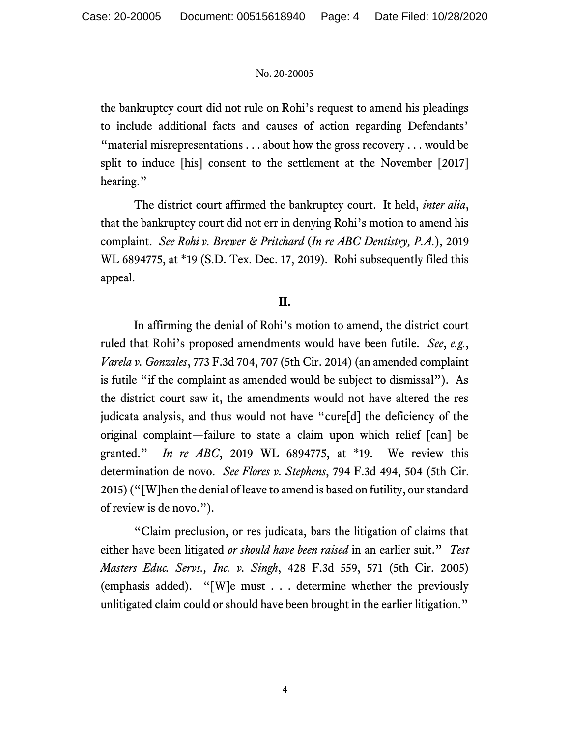the bankruptcy court did not rule on Rohi's request to amend his pleadings to include additional facts and causes of action regarding Defendants' "material misrepresentations . . . about how the gross recovery . . . would be split to induce [his] consent to the settlement at the November [2017] hearing."

The district court affirmed the bankruptcy court. It held, *inter alia*, that the bankruptcy court did not err in denying Rohi's motion to amend his complaint. See Rohi v. Brewer & Pritchard (In re ABC Dentistry, P.A.), 2019 WL 6894775, at \*19 (S.D. Tex. Dec. 17, 2019). Rohi subsequently filed this appeal.

## II.

In affirming the denial of Rohi's motion to amend, the district court ruled that Rohi's proposed amendments would have been futile. See, e.g., Varela v. Gonzales, 773 F.3d 704, 707 (5th Cir. 2014) (an amended complaint is futile "if the complaint as amended would be subject to dismissal"). As the district court saw it, the amendments would not have altered the res judicata analysis, and thus would not have "cure[d] the deficiency of the original complaint—failure to state a claim upon which relief [can] be granted." In re ABC, 2019 WL 6894775, at  $*19$ . We review this determination de novo. See Flores v. Stephens, 794 F.3d 494, 504 (5th Cir. 2015) ("[W]hen the denial of leave to amend is based on futility, our standard of review is de novo.").

"Claim preclusion, or res judicata, bars the litigation of claims that either have been litigated *or should have been raised* in an earlier suit." Test Masters Educ. Servs., Inc. v. Singh, 428 F.3d 559, 571 (5th Cir. 2005) (emphasis added). "[W]e must . . . determine whether the previously unlitigated claim could or should have been brought in the earlier litigation."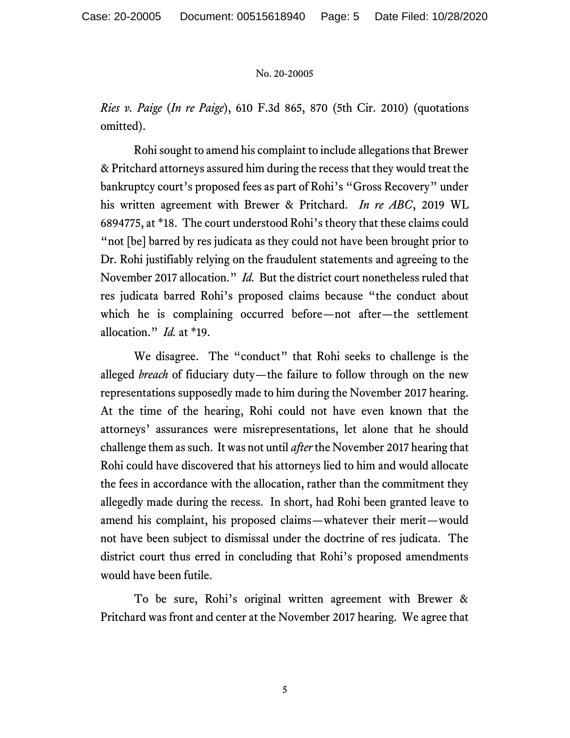Ries v. Paige (In re Paige), 610 F.3d 865, 870 (5th Cir. 2010) (quotations omitted).

Rohi sought to amend his complaint to include allegations that Brewer & Pritchard attorneys assured him during the recess that they would treat the bankruptcy court's proposed fees as part of Rohi's "Gross Recovery" under his written agreement with Brewer & Pritchard. In re ABC, 2019 WL 6894775, at \*18. The court understood Rohi's theory that these claims could "not [be] barred by res judicata as they could not have been brought prior to Dr. Rohi justifiably relying on the fraudulent statements and agreeing to the November 2017 allocation." Id. But the district court nonetheless ruled that res judicata barred Rohi's proposed claims because "the conduct about which he is complaining occurred before—not after—the settlement allocation."  $Id$  at \*19.

We disagree. The "conduct" that Rohi seeks to challenge is the alleged breach of fiduciary duty—the failure to follow through on the new representations supposedly made to him during the November 2017 hearing. At the time of the hearing, Rohi could not have even known that the attorneys' assurances were misrepresentations, let alone that he should challenge them as such. It was not until *after* the November 2017 hearing that Rohi could have discovered that his attorneys lied to him and would allocate the fees in accordance with the allocation, rather than the commitment they allegedly made during the recess. In short, had Rohi been granted leave to amend his complaint, his proposed claims—whatever their merit—would not have been subject to dismissal under the doctrine of res judicata. The district court thus erred in concluding that Rohi's proposed amendments would have been futile.

To be sure, Rohi's original written agreement with Brewer & Pritchard was front and center at the November 2017 hearing. We agree that